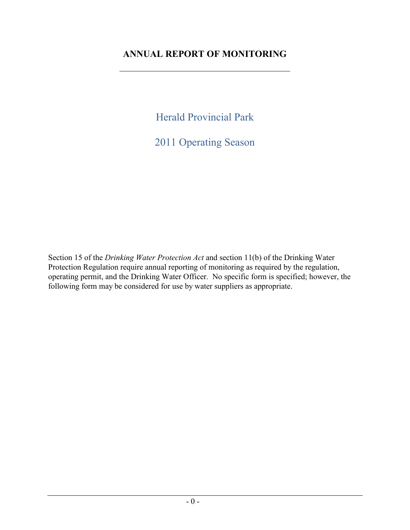# **ANNUAL REPORT OF MONITORING**

Herald Provincial Park

2011 Operating Season

Section 15 of the *Drinking Water Protection Act* and section 11(b) of the Drinking Water Protection Regulation require annual reporting of monitoring as required by the regulation, operating permit, and the Drinking Water Officer. No specific form is specified; however, the following form may be considered for use by water suppliers as appropriate.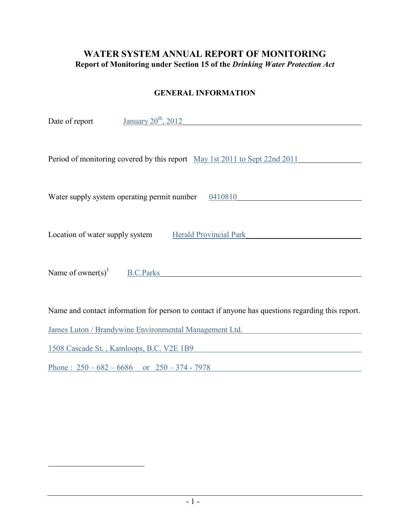# **WATER SYSTEM ANNUAL REPORT OF MONITORING Report of Monitoring under Section 15 of the** *Drinking Water Protection Act*

#### **GENERAL INFORMATION**

| January $20th$ , 2012<br>Date of report                                                           |
|---------------------------------------------------------------------------------------------------|
| Period of monitoring covered by this report May 1st 2011 to Sept 22nd 2011                        |
|                                                                                                   |
| Water supply system operating permit number<br>0410810                                            |
|                                                                                                   |
| Location of water supply system<br><b>Herald Provincial Park</b>                                  |
|                                                                                                   |
| Name of owner(s) <sup>1</sup><br><b>B.C.Parks</b>                                                 |
|                                                                                                   |
|                                                                                                   |
| Name and contact information for person to contact if anyone has questions regarding this report. |

James Luton / Brandywine Environmental Management Ltd.

1508 Cascade St. , Kamloops, B.C. V2E 1B9

 $\overline{a}$ 

Phone :  $250 - 682 - 6686$  or  $250 - 374 - 7978$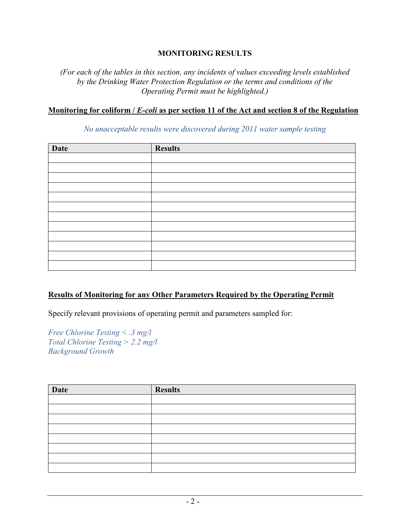### **MONITORING RESULTS**

*(For each of the tables in this section, any incidents of values exceeding levels established by the Drinking Water Protection Regulation or the terms and conditions of the Operating Permit must be highlighted.)*

#### **Monitoring for coliform /** *E-coli* **as per section 11 of the Act and section 8 of the Regulation**

*No unacceptable results were discovered during 2011 water sample testing*

| <b>Date</b> | <b>Results</b> |
|-------------|----------------|
|             |                |
|             |                |
|             |                |
|             |                |
|             |                |
|             |                |
|             |                |
|             |                |
|             |                |
|             |                |
|             |                |
|             |                |

### **Results of Monitoring for any Other Parameters Required by the Operating Permit**

Specify relevant provisions of operating permit and parameters sampled for:

*Free Chlorine Testing < .3 mg/l Total Chlorine Testing > 2.2 mg/l Background Growth*

| <b>Date</b> | <b>Results</b> |
|-------------|----------------|
|             |                |
|             |                |
|             |                |
|             |                |
|             |                |
|             |                |
|             |                |
|             |                |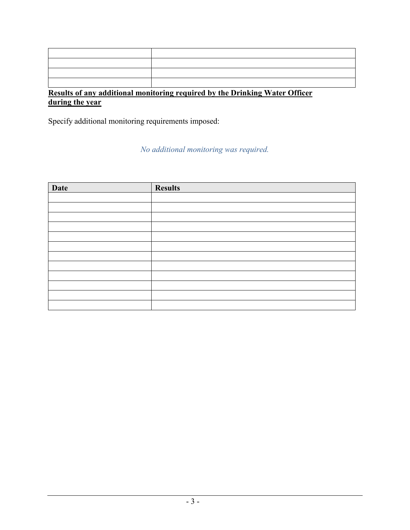| $\mathbf{u}$ and $\mathbf{u}$ and $\mathbf{u}$ and $\mathbf{u}$ and $\mathbf{u}$ and $\mathbf{u}$ and $\mathbf{u}$ |
|--------------------------------------------------------------------------------------------------------------------|

# **Results of any additional monitoring required by the Drinking Water Officer during the year**

Specify additional monitoring requirements imposed:

*No additional monitoring was required.*

| <b>Date</b> | <b>Results</b> |
|-------------|----------------|
|             |                |
|             |                |
|             |                |
|             |                |
|             |                |
|             |                |
|             |                |
|             |                |
|             |                |
|             |                |
|             |                |
|             |                |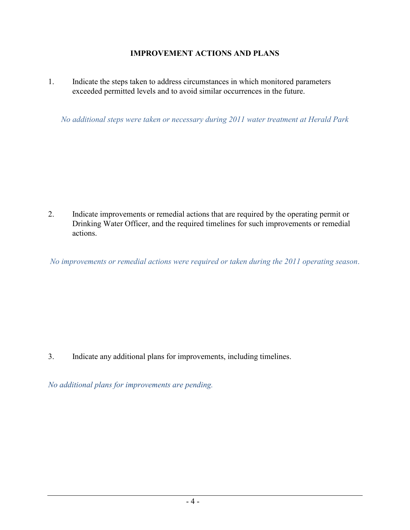# **IMPROVEMENT ACTIONS AND PLANS**

1. Indicate the steps taken to address circumstances in which monitored parameters exceeded permitted levels and to avoid similar occurrences in the future.

*No additional steps were taken or necessary during 2011 water treatment at Herald Park*

2. Indicate improvements or remedial actions that are required by the operating permit or Drinking Water Officer, and the required timelines for such improvements or remedial actions.

*No improvements or remedial actions were required or taken during the 2011 operating season*.

3. Indicate any additional plans for improvements, including timelines.

*No additional plans for improvements are pending.*